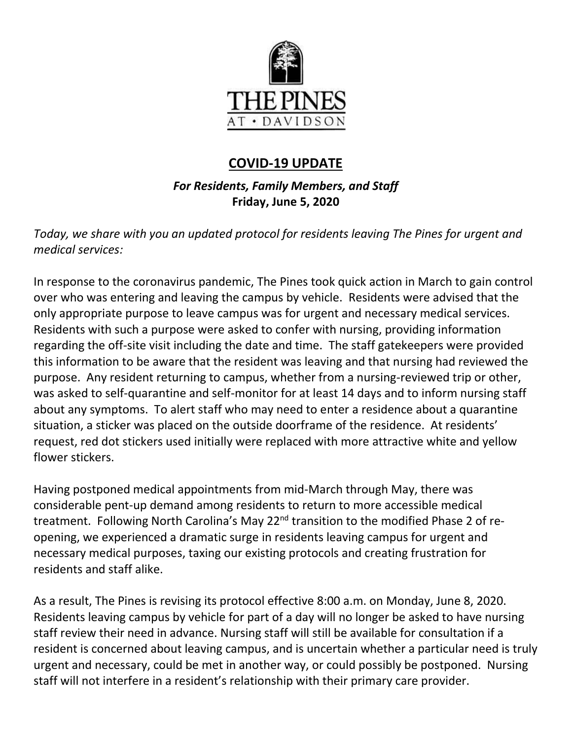

# **COVID-19 UPDATE**

*For Residents, Family Members, and Staff* **Friday, June 5, 2020**

*Today, we share with you an updated protocol for residents leaving The Pines for urgent and medical services:* 

In response to the coronavirus pandemic, The Pines took quick action in March to gain control over who was entering and leaving the campus by vehicle. Residents were advised that the only appropriate purpose to leave campus was for urgent and necessary medical services. Residents with such a purpose were asked to confer with nursing, providing information regarding the off-site visit including the date and time. The staff gatekeepers were provided this information to be aware that the resident was leaving and that nursing had reviewed the purpose. Any resident returning to campus, whether from a nursing-reviewed trip or other, was asked to self-quarantine and self-monitor for at least 14 days and to inform nursing staff about any symptoms. To alert staff who may need to enter a residence about a quarantine situation, a sticker was placed on the outside doorframe of the residence. At residents' request, red dot stickers used initially were replaced with more attractive white and yellow flower stickers.

Having postponed medical appointments from mid-March through May, there was considerable pent-up demand among residents to return to more accessible medical treatment. Following North Carolina's May 22<sup>nd</sup> transition to the modified Phase 2 of reopening, we experienced a dramatic surge in residents leaving campus for urgent and necessary medical purposes, taxing our existing protocols and creating frustration for residents and staff alike.

As a result, The Pines is revising its protocol effective 8:00 a.m. on Monday, June 8, 2020. Residents leaving campus by vehicle for part of a day will no longer be asked to have nursing staff review their need in advance. Nursing staff will still be available for consultation if a resident is concerned about leaving campus, and is uncertain whether a particular need is truly urgent and necessary, could be met in another way, or could possibly be postponed. Nursing staff will not interfere in a resident's relationship with their primary care provider.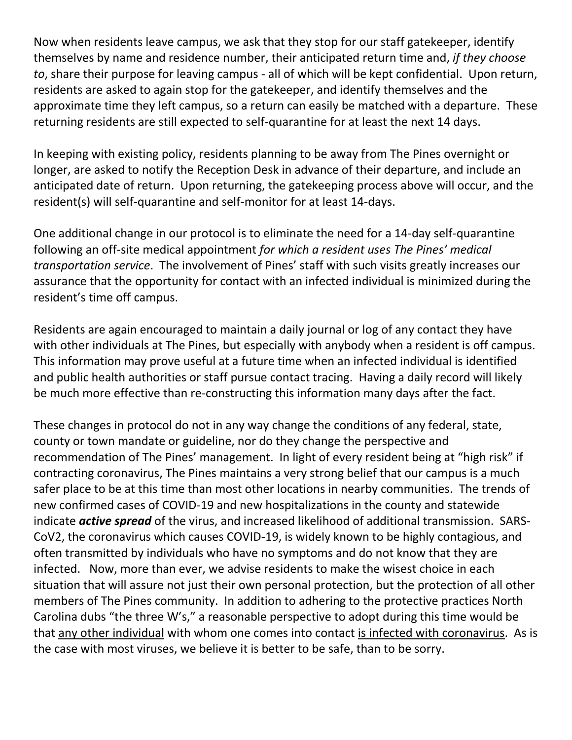Now when residents leave campus, we ask that they stop for our staff gatekeeper, identify themselves by name and residence number, their anticipated return time and, *if they choose to*, share their purpose for leaving campus - all of which will be kept confidential. Upon return, residents are asked to again stop for the gatekeeper, and identify themselves and the approximate time they left campus, so a return can easily be matched with a departure. These returning residents are still expected to self-quarantine for at least the next 14 days.

In keeping with existing policy, residents planning to be away from The Pines overnight or longer, are asked to notify the Reception Desk in advance of their departure, and include an anticipated date of return. Upon returning, the gatekeeping process above will occur, and the resident(s) will self-quarantine and self-monitor for at least 14-days.

One additional change in our protocol is to eliminate the need for a 14-day self-quarantine following an off-site medical appointment *for which a resident uses The Pines' medical transportation service*. The involvement of Pines' staff with such visits greatly increases our assurance that the opportunity for contact with an infected individual is minimized during the resident's time off campus.

Residents are again encouraged to maintain a daily journal or log of any contact they have with other individuals at The Pines, but especially with anybody when a resident is off campus. This information may prove useful at a future time when an infected individual is identified and public health authorities or staff pursue contact tracing. Having a daily record will likely be much more effective than re-constructing this information many days after the fact.

These changes in protocol do not in any way change the conditions of any federal, state, county or town mandate or guideline, nor do they change the perspective and recommendation of The Pines' management. In light of every resident being at "high risk" if contracting coronavirus, The Pines maintains a very strong belief that our campus is a much safer place to be at this time than most other locations in nearby communities. The trends of new confirmed cases of COVID-19 and new hospitalizations in the county and statewide indicate *active spread* of the virus, and increased likelihood of additional transmission. SARS-CoV2, the coronavirus which causes COVID-19, is widely known to be highly contagious, and often transmitted by individuals who have no symptoms and do not know that they are infected. Now, more than ever, we advise residents to make the wisest choice in each situation that will assure not just their own personal protection, but the protection of all other members of The Pines community. In addition to adhering to the protective practices North Carolina dubs "the three W's," a reasonable perspective to adopt during this time would be that any other individual with whom one comes into contact is infected with coronavirus. As is the case with most viruses, we believe it is better to be safe, than to be sorry.